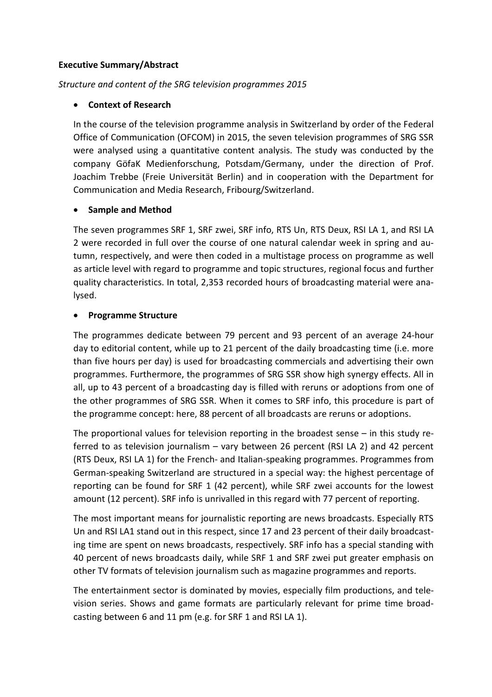### **Executive Summary/Abstract**

## *Structure and content of the SRG television programmes 2015*

# • **Context of Research**

In the course of the television programme analysis in Switzerland by order of the Federal Office of Communication (OFCOM) in 2015, the seven television programmes of SRG SSR were analysed using a quantitative content analysis. The study was conducted by the company GöfaK Medienforschung, Potsdam/Germany, under the direction of Prof. Joachim Trebbe (Freie Universität Berlin) and in cooperation with the Department for Communication and Media Research, Fribourg/Switzerland.

## • **Sample and Method**

The seven programmes SRF 1, SRF zwei, SRF info, RTS Un, RTS Deux, RSI LA 1, and RSI LA 2 were recorded in full over the course of one natural calendar week in spring and autumn, respectively, and were then coded in a multistage process on programme as well as article level with regard to programme and topic structures, regional focus and further quality characteristics. In total, 2,353 recorded hours of broadcasting material were analysed.

## • **Programme Structure**

The programmes dedicate between 79 percent and 93 percent of an average 24-hour day to editorial content, while up to 21 percent of the daily broadcasting time (i.e. more than five hours per day) is used for broadcasting commercials and advertising their own programmes. Furthermore, the programmes of SRG SSR show high synergy effects. All in all, up to 43 percent of a broadcasting day is filled with reruns or adoptions from one of the other programmes of SRG SSR. When it comes to SRF info, this procedure is part of the programme concept: here, 88 percent of all broadcasts are reruns or adoptions.

The proportional values for television reporting in the broadest sense – in this study referred to as television journalism – vary between 26 percent (RSI LA 2) and 42 percent (RTS Deux, RSI LA 1) for the French- and Italian-speaking programmes. Programmes from German-speaking Switzerland are structured in a special way: the highest percentage of reporting can be found for SRF 1 (42 percent), while SRF zwei accounts for the lowest amount (12 percent). SRF info is unrivalled in this regard with 77 percent of reporting.

The most important means for journalistic reporting are news broadcasts. Especially RTS Un and RSI LA1 stand out in this respect, since 17 and 23 percent of their daily broadcasting time are spent on news broadcasts, respectively. SRF info has a special standing with 40 percent of news broadcasts daily, while SRF 1 and SRF zwei put greater emphasis on other TV formats of television journalism such as magazine programmes and reports.

The entertainment sector is dominated by movies, especially film productions, and television series. Shows and game formats are particularly relevant for prime time broadcasting between 6 and 11 pm (e.g. for SRF 1 and RSI LA 1).